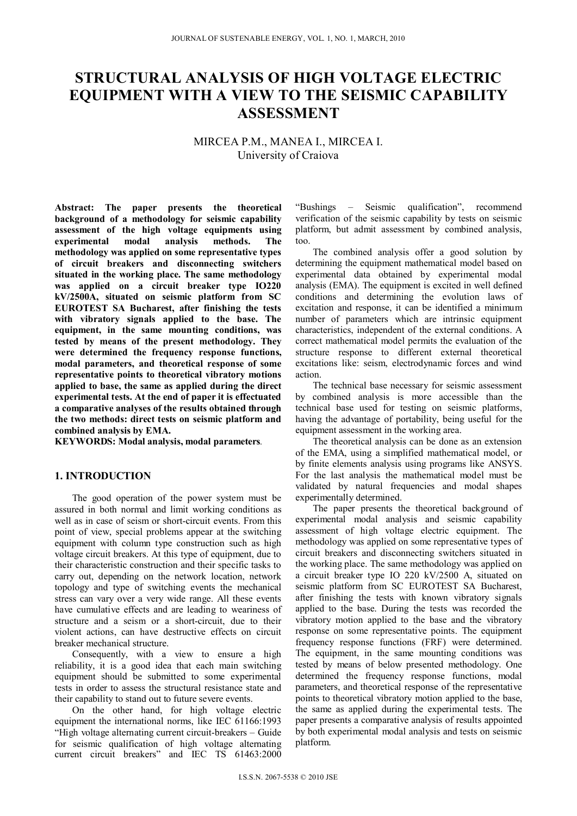# **STRUCTURAL ANALYSIS OF HIGH VOLTAGE ELECTRIC EQUIPMENT WITH A VIEW TO THE SEISMIC CAPABILITY ASSESSMENT**

## MIRCEA P.M., MANEA I., MIRCEA I. University of Craiova

**Abstract: The paper presents the theoretical background of a methodology for seismic capability assessment of the high voltage equipments using experimental modal analysis methods. The methodology was applied on some representative types of circuit breakers and disconnecting switchers situated in the working place. The same methodology was applied on a circuit breaker type IO220 kV/2500A, situated on seismic platform from SC EUROTEST SA Bucharest, after finishing the tests with vibratory signals applied to the base. The equipment, in the same mounting conditions, was tested by means of the present methodology. They were determined the frequency response functions, modal parameters, and theoretical response of some representative points to theoretical vibratory motions applied to base, the same as applied during the direct experimental tests. At the end of paper it is effectuated a comparative analyses of the results obtained through the two methods: direct tests on seismic platform and combined analysis by EMA.** 

**KEYWORDS: Modal analysis, modal parameters***.*

## **1. INTRODUCTION**

The good operation of the power system must be assured in both normal and limit working conditions as well as in case of seism or short-circuit events. From this point of view, special problems appear at the switching equipment with column type construction such as high voltage circuit breakers. At this type of equipment, due to their characteristic construction and their specific tasks to carry out, depending on the network location, network topology and type of switching events the mechanical stress can vary over a very wide range. All these events have cumulative effects and are leading to weariness of structure and a seism or a short-circuit, due to their violent actions, can have destructive effects on circuit breaker mechanical structure.

Consequently, with a view to ensure a high reliability, it is a good idea that each main switching equipment should be submitted to some experimental tests in order to assess the structural resistance state and their capability to stand out to future severe events.

On the other hand, for high voltage electric equipment the international norms, like IEC 61166:1993 "High voltage alternating current circuit-breakers – Guide for seismic qualification of high voltage alternating current circuit breakers" and IEC TS 61463:2000

"Bushings – Seismic qualification", recommend verification of the seismic capability by tests on seismic platform, but admit assessment by combined analysis, too.

The combined analysis offer a good solution by determining the equipment mathematical model based on experimental data obtained by experimental modal analysis (EMA). The equipment is excited in well defined conditions and determining the evolution laws of excitation and response, it can be identified a minimum number of parameters which are intrinsic equipment characteristics, independent of the external conditions. A correct mathematical model permits the evaluation of the structure response to different external theoretical excitations like: seism, electrodynamic forces and wind action.

The technical base necessary for seismic assessment by combined analysis is more accessible than the technical base used for testing on seismic platforms, having the advantage of portability, being useful for the equipment assessment in the working area.

The theoretical analysis can be done as an extension of the EMA, using a simplified mathematical model, or by finite elements analysis using programs like ANSYS. For the last analysis the mathematical model must be validated by natural frequencies and modal shapes experimentally determined.

The paper presents the theoretical background of experimental modal analysis and seismic capability assessment of high voltage electric equipment. The methodology was applied on some representative types of circuit breakers and disconnecting switchers situated in the working place. The same methodology was applied on a circuit breaker type IO 220 kV/2500 A, situated on seismic platform from SC EUROTEST SA Bucharest, after finishing the tests with known vibratory signals applied to the base. During the tests was recorded the vibratory motion applied to the base and the vibratory response on some representative points. The equipment frequency response functions (FRF) were determined. The equipment, in the same mounting conditions was tested by means of below presented methodology. One determined the frequency response functions, modal parameters, and theoretical response of the representative points to theoretical vibratory motion applied to the base, the same as applied during the experimental tests. The paper presents a comparative analysis of results appointed by both experimental modal analysis and tests on seismic platform.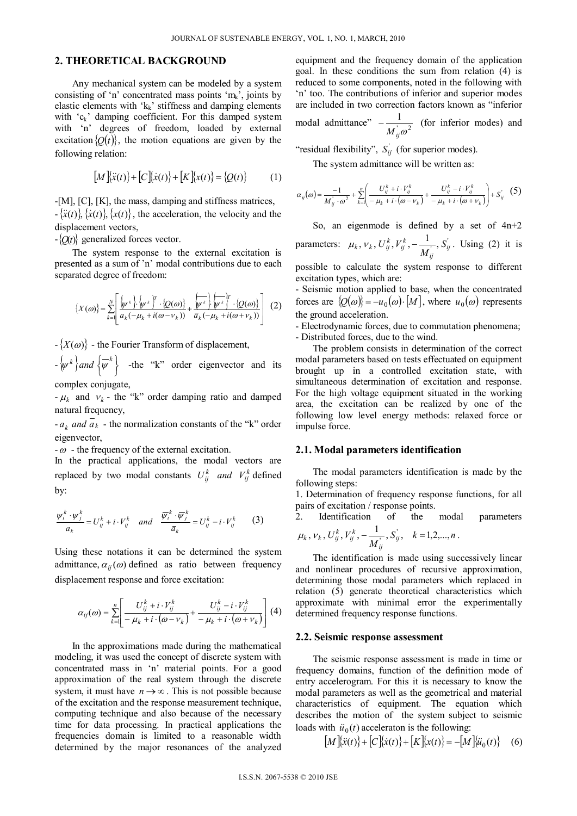## **2. THEORETICAL BACKGROUND**

Any mechanical system can be modeled by a system consisting of 'n' concentrated mass points 'mk', joints by elastic elements with  $k_k$ ' stiffness and damping elements with 'c<sub>k</sub>' damping coefficient. For this damped system with 'n' degrees of freedom, loaded by external excitation  $\{Q(t)\}\)$ , the motion equations are given by the following relation:

$$
[M]\ddot{x}(t) + [C]\dot{x}(t) + [K]\dot{x}(t) = \{Q(t)\} \tag{1}
$$

-[M], [C], [K], the mass, damping and stiffness matrices,  $-\{\ddot{x}(t)\}\$ ,  $\{\dot{x}(t)\}\$ , the acceleration, the velocity and the displacement vectors,

 $-\langle O(t) \rangle$  generalized forces vector.

The system response to the external excitation is presented as a sum of 'n' modal contributions due to each separated degree of freedom:

$$
\left\{X(\omega)\right\} = \sum_{k=1}^{N} \left[ \frac{\left\{\psi^k\right\} \cdot \left\{\psi^k\right\}^T \cdot \left\{Q(\omega)\right\}}{a_k(-\mu_k + i(\omega - v_k))} + \frac{\left\{\psi^k\right\} \cdot \left\{\psi^k\right\}^T \cdot \left\{Q(\omega)\right\}}{\overline{a}_k(-\mu_k + i(\omega + v_k))} \right] (2)
$$

 $-$ { $X(\omega)$ } - the Fourier Transform of displacement,

 $-\{\psi^k\}$  and  $\{\overline{\psi}^k\}$  $\{\psi^k\}$  *and*  $\{\overline{\psi}^k\}$  -the "k" order eigenvector and its

complex conjugate,

 $-\mu_k$  and  $\nu_k$  - the "k" order damping ratio and damped natural frequency,

 $-a_k$  *and*  $\overline{a_k}$  - the normalization constants of the "k" order eigenvector,

 $-\omega$  - the frequency of the external excitation.

In the practical applications, the modal vectors are replaced by two modal constants  $U_{ij}^k$  *and*  $V_{ij}^k$  defined by:

$$
\frac{w_i^k \cdot w_j^k}{a_k} = U_{ij}^k + i \cdot V_{ij}^k \quad \text{and} \quad \frac{\overline{w}_i^k \cdot \overline{w}_j^k}{\overline{a}_k} = U_{ij}^k - i \cdot V_{ij}^k \tag{3}
$$

Using these notations it can be determined the system admittance,  $\alpha_{ii}(\omega)$  defined as ratio between frequency displacement response and force excitation:

$$
\alpha_{ij}(\omega) = \sum_{k=1}^n \left[ \frac{U_{ij}^k + i \cdot V_{ij}^k}{-\mu_k + i \cdot (\omega - \nu_k)} + \frac{U_{ij}^k - i \cdot V_{ij}^k}{-\mu_k + i \cdot (\omega + \nu_k)} \right] (4)
$$

In the approximations made during the mathematical modeling, it was used the concept of discrete system with concentrated mass in 'n' material points. For a good approximation of the real system through the discrete system, it must have  $n \to \infty$ . This is not possible because of the excitation and the response measurement technique, computing technique and also because of the necessary time for data processing. In practical applications the frequencies domain is limited to a reasonable width determined by the major resonances of the analyzed equipment and the frequency domain of the application goal. In these conditions the sum from relation (4) is reduced to some components, noted in the following with 'n' too. The contributions of inferior and superior modes are included in two correction factors known as "inferior

modal admittance"  $-\frac{1}{M_y \omega^2}$  (for inferior modes) and

"residual flexibility",  $S_{ij}$  (for superior modes).

The system admittance will be written as:

$$
\alpha_{ij}(\omega) = \frac{-1}{M_{ij}^{\prime} \cdot \omega^2} + \sum_{k=1}^{n} \left( \frac{U_{ij}^k + i \cdot V_{ij}^k}{-\mu_k + i \cdot (\omega - v_k)} + \frac{U_{ij}^k - i \cdot V_{ij}^k}{-\mu_k + i \cdot (\omega + v_k)} \right) + S_{ij}^{\prime} \quad (5)
$$

So, an eigenmode is defined by a set of  $4n+2$ parameters:  $\mu_k$ ,  $v_k$ ,  $U_{ij}^k$ ,  $V_{ij}^k$ ,  $-\frac{1}{M}$ ,  $S_{ij}$ *ij*  $V_k$ ,  $V_k$ ,  $U_{ij}^k$ ,  $V_{ij}^k$ ,  $-\frac{1}{M_{ij}^k}$ , S  $\mu_k, \nu_k, U_{ii}^{\kappa}, V_{ii}^{\kappa}, -\frac{1}{\cdots}, S_{ii}$ . Using (2) it is

possible to calculate the system response to different excitation types, which are:

- Seismic motion applied to base, when the concentrated forces are  $\{Q(\omega)\} = -u_0(\omega) \cdot [M]$ , where  $u_0(\omega)$  represents the ground acceleration.

- Electrodynamic forces, due to commutation phenomena; - Distributed forces, due to the wind.

The problem consists in determination of the correct modal parameters based on tests effectuated on equipment brought up in a controlled excitation state, with simultaneous determination of excitation and response. For the high voltage equipment situated in the working area, the excitation can be realized by one of the following low level energy methods: relaxed force or impulse force.

#### **2.1. Modal parameters identification**

The modal parameters identification is made by the following steps:

1. Determination of frequency response functions, for all pairs of excitation / response points.

2. Identification of the modal parameters

$$
\mu_k
$$
,  $v_k$ ,  $U_{ij}^k$ ,  $V_{ij}^k$ ,  $-\frac{1}{M_{ij}^{\prime}}$ ,  $S_{ij}^{\prime}$ ,  $k = 1, 2, ..., n$ .

The identification is made using successively linear and nonlinear procedures of recursive approximation, determining those modal parameters which replaced in relation (5) generate theoretical characteristics which approximate with minimal error the experimentally determined frequency response functions.

#### **2.2. Seismic response assessment**

The seismic response assessment is made in time or frequency domains, function of the definition mode of entry accelerogram. For this it is necessary to know the modal parameters as well as the geometrical and material characteristics of equipment. The equation which describes the motion of the system subject to seismic loads with  $\ddot{u}_0(t)$  acceleraton is the following:

$$
[M]\{\ddot{x}(t)\} + [C]\{\dot{x}(t)\} + [K]\{x(t)\} = -[M]\{\ddot{u}_0(t)\} \quad (6)
$$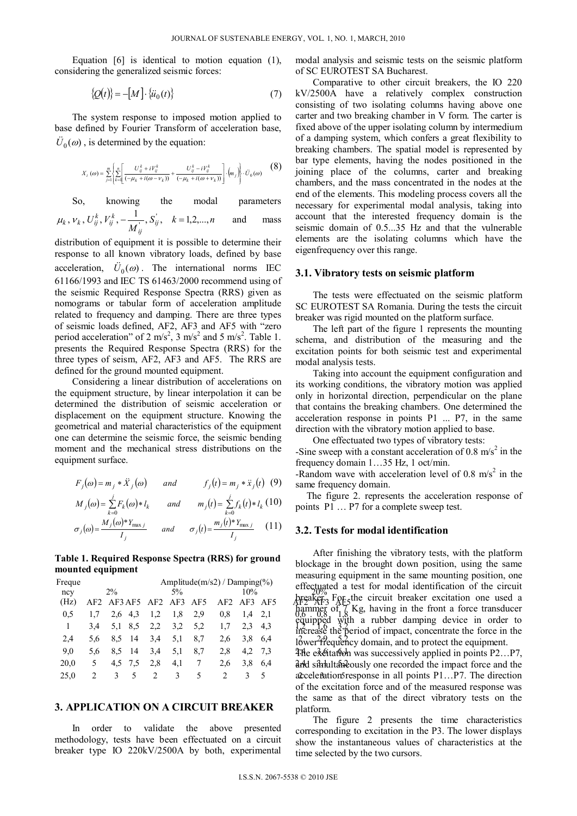Equation [6] is identical to motion equation (1), considering the generalized seismic forces:

$$
\{\mathcal{Q}(t)\} = -[M] \cdot \{\ddot{u}_0(t)\}\tag{7}
$$

The system response to imposed motion applied to base defined by Fourier Transform of acceleration base,  $\ddot{U}_0(\omega)$ , is determined by the equation:

$$
X_i\left(\omega\right)=\sum_{j=1}^{m}\left\{\sum_{k=1}^{n}\left[\frac{U_{ij}^k+iV_{ij}^k}{\left(-\mu_k+i(\omega-v_k)\right)}+\frac{U_{ij}^k-iV_{ij}^k}{\left(-\mu_k+i(\omega+v_k)\right)}\right]\cdot\left(m_j\right)\right\}\cdot \ddot{U}_0(\omega) \tag{8}
$$

So, knowing the modal parameters

$$
\mu_k
$$
,  $v_k$ ,  $U_{ij}^k$ ,  $V_{ij}^k$ ,  $-\frac{1}{M_{ij}^{'}}$ ,  $S_{ij}^{'}$ ,  $k = 1, 2, ..., n$  and mass

distribution of equipment it is possible to determine their response to all known vibratory loads, defined by base acceleration,  $\ddot{U}_0(\omega)$ . The international norms IEC 61166/1993 and IEC TS 61463/2000 recommend using of the seismic Required Response Spectra (RRS) given as nomograms or tabular form of acceleration amplitude related to frequency and damping. There are three types of seismic loads defined, AF2, AF3 and AF5 with "zero period acceleration" of 2 m/s<sup>2</sup>, 3 m/s<sup>2</sup> and 5 m/s<sup>2</sup>. Table 1. presents the Required Response Spectra (RRS) for the three types of seism, AF2, AF3 and AF5. The RRS are defined for the ground mounted equipment.

Considering a linear distribution of accelerations on the equipment structure, by linear interpolation it can be determined the distribution of seismic acceleration or displacement on the equipment structure. Knowing the geometrical and material characteristics of the equipment one can determine the seismic force, the seismic bending moment and the mechanical stress distributions on the equipment surface.

$$
F_j(\omega) = m_j * \ddot{X}_j(\omega) \qquad and \qquad f_j(t) = m_j * \ddot{X}_j(t) \quad (9)
$$

$$
M_j(\omega) = \sum_{k=0}^j F_k(\omega) * l_k \quad \text{and} \quad m_j(t) = \sum_{k=0}^j f_k(t) * l_k \quad (10)
$$
  
= (a)  $M_j(\omega) * Y_{\text{max},j}$   $\dots$   $(a) \quad m_j(t) * Y_{\text{max},j} \quad (11)$ 

$$
\sigma_j(\omega) = \frac{M_j(\omega)^* Y_{\text{max }j}}{I_j} \quad \text{and} \quad \sigma_j(t) = \frac{m_j(t)^* Y_{\text{max }j}}{I_j} \quad (11)
$$

**Table 1. Required Response Spectra (RRS) for ground mounted equipment** 

|              |        |  |                                                  |                              |                          |                                                                         |  | measuring equipment in the same mounting position, one |                                                                                                                          |
|--------------|--------|--|--------------------------------------------------|------------------------------|--------------------------|-------------------------------------------------------------------------|--|--------------------------------------------------------|--------------------------------------------------------------------------------------------------------------------------|
|              |        |  |                                                  |                              |                          |                                                                         |  |                                                        | effectuated a test for modal identification of the circuit                                                               |
| $2\%$<br>ncy |        |  | $5\%$                                            |                              |                          | 10%                                                                     |  |                                                        |                                                                                                                          |
|              |        |  |                                                  |                              |                          |                                                                         |  |                                                        | Areaker Spr <sub>5</sub> the circuit breaker excitation one used a                                                       |
|              |        |  |                                                  |                              |                          |                                                                         |  |                                                        | $\frac{1}{2}$ happing of $\frac{1}{6}$ Kg, having in the front a force transducer                                        |
|              |        |  |                                                  |                              |                          |                                                                         |  |                                                        |                                                                                                                          |
|              |        |  |                                                  |                              |                          |                                                                         |  |                                                        | equipped with a rubber damping device in order to                                                                        |
|              |        |  |                                                  |                              |                          |                                                                         |  |                                                        | increase the period of impact, concentrate the force in the                                                              |
|              |        |  |                                                  |                              |                          |                                                                         |  |                                                        |                                                                                                                          |
|              |        |  |                                                  |                              |                          |                                                                         |  |                                                        | lower <sup>2</sup> requency domain, and to protect the equipment.                                                        |
|              |        |  |                                                  |                              |                          |                                                                         |  |                                                        | The execution was successively applied in points P2P7,                                                                   |
|              |        |  |                                                  |                              |                          |                                                                         |  |                                                        |                                                                                                                          |
|              |        |  |                                                  |                              |                          |                                                                         |  |                                                        | and simultaneously one recorded the impact force and the                                                                 |
|              |        |  |                                                  |                              |                          |                                                                         |  |                                                        | acceleration fresponse in all points P1P7. The direction                                                                 |
|              | Freque |  | $1.7\quad 2.6\quad 4.3$<br>5.6 8.5 14<br>4.5 7.5 | 5,6 8,5 14 3,4<br>3,4<br>2.8 | 1,8<br>5,1<br>5,1<br>4,1 | AF2 AF3 AF5 AF2 AF3 AF5<br>2.9<br>3,4 5,1 8,5 2,2 3,2 5,2<br>8.7<br>8,7 |  |                                                        | Amplitude( $m/s2$ ) / Damping(%)<br>AF2 AF3 AF5<br>$0.8$ 1.4 2.1<br>2.3 4.3<br>2.6 3.8 6.4<br>2,8 4,2 7,3<br>2.6 3.8 6.4 |

#### **3. APPLICATION ON A CIRCUIT BREAKER**

In order to validate the above presented methodology, tests have been effectuated on a circuit breaker type IO 220kV/2500A by both, experimental modal analysis and seismic tests on the seismic platform of SC EUROTEST SA Bucharest.

Comparative to other circuit breakers, the IO 220 kV/2500A have a relatively complex construction consisting of two isolating columns having above one carter and two breaking chamber in V form. The carter is fixed above of the upper isolating column by intermedium of a damping system, which confers a great flexibility to breaking chambers. The spatial model is represented by bar type elements, having the nodes positioned in the joining place of the columns, carter and breaking chambers, and the mass concentrated in the nodes at the end of the elements. This modeling process covers all the necessary for experimental modal analysis, taking into account that the interested frequency domain is the seismic domain of 0.5...35 Hz and that the vulnerable elements are the isolating columns which have the eigenfrequency over this range.

#### **3.1. Vibratory tests on seismic platform**

The tests were effectuated on the seismic platform SC EUROTEST SA Romania. During the tests the circuit breaker was rigid mounted on the platform surface.

The left part of the figure 1 represents the mounting schema, and distribution of the measuring and the excitation points for both seismic test and experimental modal analysis tests.

Taking into account the equipment configuration and its working conditions, the vibratory motion was applied only in horizontal direction, perpendicular on the plane that contains the breaking chambers. One determined the acceleration response in points P1 ... P7, in the same direction with the vibratory motion applied to base.

One effectuated two types of vibratory tests:

-Sine sweep with a constant acceleration of  $0.8 \text{ m/s}^2$  in the frequency domain 1…35 Hz, 1 oct/min.

-Random wave with acceleration level of 0.8  $\text{m/s}^2$  in the same frequency domain.

The figure 2. represents the acceleration response of points P1 … P7 for a complete sweep test.

#### **3.2. Tests for modal identification**

After finishing the vibratory tests, with the platform blockage in the brought down position, using the same measuring equipment in the same mounting position, one effectuated a test for modal identification of the circuit  $b$ **reaker.** For the circuit breaker excitation one used a hammer of 7 Kg, having in the front a force transducer equipped with a rubber damping device in order to increase the period of impact, concentrate the force in the

 $20,0$  5 4,5 7,5 2,8 4,1 7 2,6 3,8 6,4 and simultaneously one recorded the impact force and the 25,0 2 3 5 2 3 5 2 3 5 2 3 5 acceleration response in all points P1…P7. The direction of the excitation force and of the measured response was the same as that of the direct vibratory tests on the platform.

> The figure 2 presents the time characteristics corresponding to excitation in the P3. The lower displays show the instantaneous values of characteristics at the time selected by the two cursors.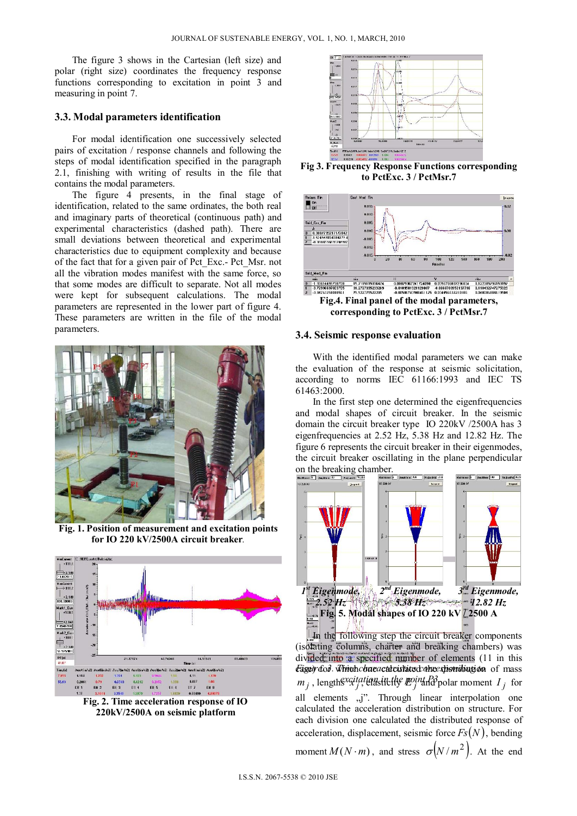The figure 3 shows in the Cartesian (left size) and polar (right size) coordinates the frequency response functions corresponding to excitation in point 3 and measuring in point 7.

## **3.3. Modal parameters identification**

For modal identification one successively selected pairs of excitation / response channels and following the steps of modal identification specified in the paragraph 2.1, finishing with writing of results in the file that contains the modal parameters.

The figure 4 presents, in the final stage of identification, related to the same ordinates, the both real and imaginary parts of theoretical (continuous path) and experimental characteristics (dashed path). There are small deviations between theoretical and experimental characteristics due to equipment complexity and because of the fact that for a given pair of Pct\_Exc.- Pct\_Msr. not all the vibration modes manifest with the same force, so that some modes are difficult to separate. Not all modes were kept for subsequent calculations. The modal parameters are represented in the lower part of figure 4. These parameters are written in the file of the modal parameters.



**Fig. 1. Position of measurement and excitation points for IO 220 kV/2500A circuit breaker***.* 



**Fig. 2. Time acceleration response of IO 220kV/2500A on seismic platform** 



**Fig 3. Frequency Response Functions corresponding to PctExc. 3 / PctMsr.7** 



#### **3.4. Seismic response evaluation**

With the identified modal parameters we can make the evaluation of the response at seismic solicitation, according to norms IEC 61166:1993 and IEC TS 61463:2000.

In the first step one determined the eigenfrequencies and modal shapes of circuit breaker. In the seismic domain the circuit breaker type IO 220kV /2500A has 3 eigenfrequencies at 2.52 Hz, 5.38 Hz and 12.82 Hz. The figure 6 represents the circuit breaker in their eigenmodes, the circuit breaker oscillating in the plane perpendicular On the breaking chamber.



Fage) dof Winchchaeactd cistated one stiending on of mass  $m_j$ , lengths *x x j j elasticity E point R3* polar moment *I<sub>j</sub>* for (isolating columns, charter and breaking chambers) was divided into a specified number of elements  $(11 \text{ in this})$ all elements ,,j". Through linear interpolation one calculated the acceleration distribution on structure. For each division one calculated the distributed response of acceleration, displacement, seismic force  $Fs(N)$ , bending

moment  $M(N \cdot m)$ , and stress  $\sigma \left( \frac{N}{m^2} \right)$ . At the end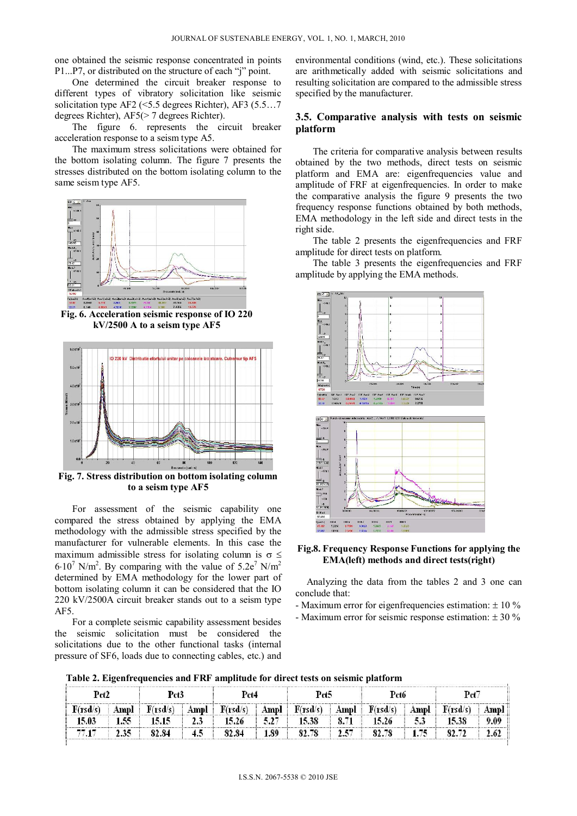one obtained the seismic response concentrated in points P1...P7, or distributed on the structure of each "j" point.

One determined the circuit breaker response to different types of vibratory solicitation like seismic solicitation type AF2 (<5.5 degrees Richter), AF3 (5.5…7 degrees Richter), AF5(> 7 degrees Richter).

The figure 6. represents the circuit breaker acceleration response to a seism type A5.

The maximum stress solicitations were obtained for the bottom isolating column. The figure 7 presents the stresses distributed on the bottom isolating column to the same seism type AF5.



**Fig. 6. Acceleration seismic response of IO 220 kV/2500 A to a seism type AF5** 



**Fig. 7. Stress distribution on bottom isolating column to a seism type AF5**

For assessment of the seismic capability one compared the stress obtained by applying the EMA methodology with the admissible stress specified by the manufacturer for vulnerable elements. In this case the maximum admissible stress for isolating column is  $\sigma \leq$  $6.10^7$  N/m<sup>2</sup>. By comparing with the value of  $5.2e^7$  N/m<sup>2</sup> determined by EMA methodology for the lower part of bottom isolating column it can be considered that the IO 220 kV/2500A circuit breaker stands out to a seism type AF5.

For a complete seismic capability assessment besides the seismic solicitation must be considered the solicitations due to the other functional tasks (internal pressure of SF6, loads due to connecting cables, etc.) and environmental conditions (wind, etc.). These solicitations are arithmetically added with seismic solicitations and resulting solicitation are compared to the admissible stress specified by the manufacturer.

## **3.5. Comparative analysis with tests on seismic platform**

The criteria for comparative analysis between results obtained by the two methods, direct tests on seismic platform and EMA are: eigenfrequencies value and amplitude of FRF at eigenfrequencies. In order to make the comparative analysis the figure 9 presents the two frequency response functions obtained by both methods, EMA methodology in the left side and direct tests in the right side.

The table 2 presents the eigenfrequencies and FRF amplitude for direct tests on platform.

The table 3 presents the eigenfrequencies and FRF amplitude by applying the EMA methods.



**Fig.8. Frequency Response Functions for applying the EMA(left) methods and direct tests(right)** 

Analyzing the data from the tables 2 and 3 one can conclude that:

- Maximum error for eigenfrequencies estimation:  $\pm 10\%$
- Maximum error for seismic response estimation:  $\pm 30\%$

**Table 2. Eigenfrequencies and FRF amplitude for direct tests on seismic platform**

| Pct2     |      | Pct3  |    | Pct4                           |      | Pct5                                        |      | Pct6  |      |          |       |
|----------|------|-------|----|--------------------------------|------|---------------------------------------------|------|-------|------|----------|-------|
| F(rsd/s) | Ampl |       |    | $F(rsd/s)$   Ampl   $F(rsd/s)$ |      | $\Box$ Ampl $F(rsd/s)$ Ampl $F(rsd/s)$ Ampl |      |       |      | F(rsd/s) | Ampl: |
| 15.03    | 1.55 | 15.15 | 23 | 15.26                          | 5.27 | 15.38                                       |      | 15.26 | 5.3  | 15.38    | 9.09  |
|          | 2.35 | 82.84 | 45 | 82.84                          | 1.89 | 82.78                                       | 2.57 | 82.78 | 1.75 |          |       |